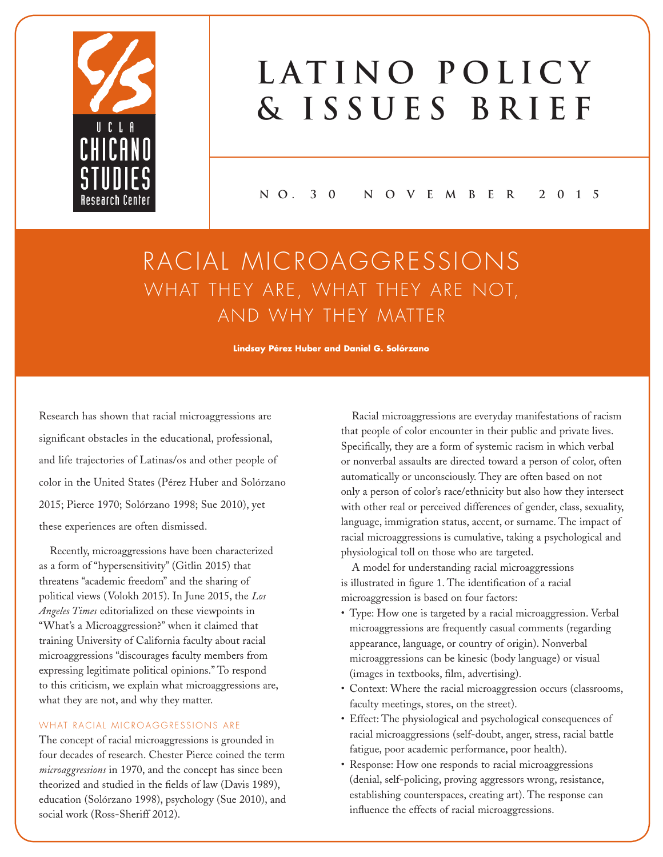

# LATINO POLICY **& Issues Brief**

**N O. 3 0 N o v e m B E R 2 0 1 5**

## RACIAL MICROAGGRESSIONS WHAT THEY ARE, WHAT THEY ARE NOT, AND WHY THEY MATTER

**Lindsay Pérez Huber and Daniel G. Solórzano**

Research has shown that racial microaggressions are significant obstacles in the educational, professional, and life trajectories of Latinas/os and other people of color in the United States (Pérez Huber and Solórzano 2015; Pierce 1970; Solórzano 1998; Sue 2010), yet these experiences are often dismissed.

Recently, microaggressions have been characterized as a form of "hypersensitivity" (Gitlin 2015) that threatens "academic freedom" and the sharing of political views (Volokh 2015). In June 2015, the *Los Angeles Times* editorialized on these viewpoints in "What's a Microaggression?" when it claimed that training University of California faculty about racial microaggressions "discourages faculty members from expressing legitimate political opinions." To respond to this criticism, we explain what microaggressions are, what they are not, and why they matter.

#### WHAT RACIAL MICROAGGRESSIONS ARE

The concept of racial microaggressions is grounded in four decades of research. Chester Pierce coined the term *microaggressions* in 1970, and the concept has since been theorized and studied in the fields of law (Davis 1989), education (Solórzano 1998), psychology (Sue 2010), and social work (Ross-Sheriff 2012).

Racial microaggressions are everyday manifestations of racism that people of color encounter in their public and private lives. Specifically, they are a form of systemic racism in which verbal or nonverbal assaults are directed toward a person of color, often automatically or unconsciously. They are often based on not only a person of color's race/ethnicity but also how they intersect with other real or perceived differences of gender, class, sexuality, language, immigration status, accent, or surname. The impact of racial microaggressions is cumulative, taking a psychological and physiological toll on those who are targeted.

A model for understanding racial microaggressions is illustrated in figure 1. The identification of a racial microaggression is based on four factors:

- Type: How one is targeted by a racial microaggression. Verbal microaggressions are frequently casual comments (regarding appearance, language, or country of origin). Nonverbal microaggressions can be kinesic (body language) or visual (images in textbooks, film, advertising).
- Context: Where the racial microaggression occurs (classrooms, faculty meetings, stores, on the street).
- Effect: The physiological and psychological consequences of racial microaggressions (self-doubt, anger, stress, racial battle fatigue, poor academic performance, poor health).
- Response: How one responds to racial microaggressions (denial, self-policing, proving aggressors wrong, resistance, establishing counterspaces, creating art). The response can influence the effects of racial microaggressions.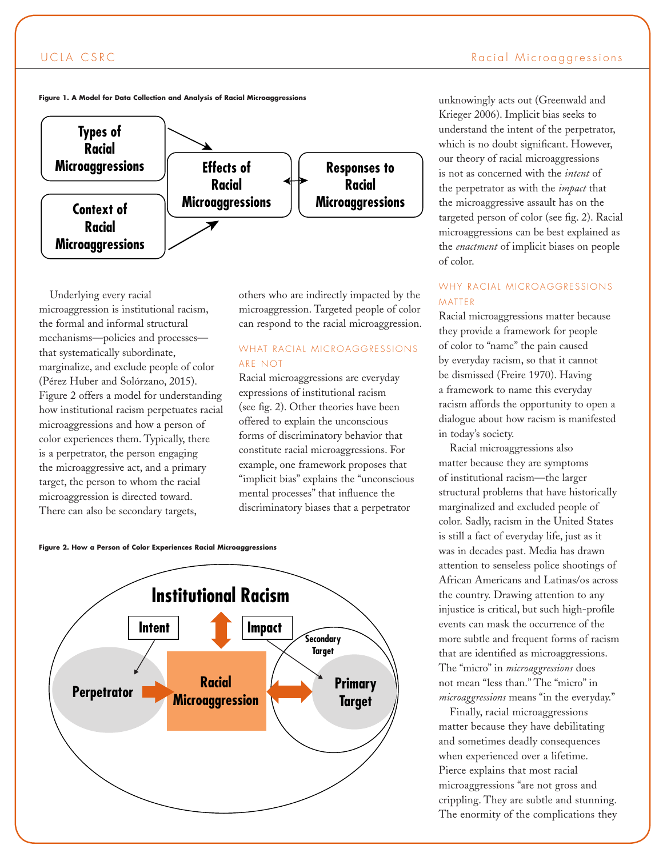

Underlying every racial microaggression is institutional racism, the formal and informal structural mechanisms—policies and processes that systematically subordinate, marginalize, and exclude people of color (Pérez Huber and Solórzano, 2015). Figure 2 offers a model for understanding how institutional racism perpetuates racial microaggressions and how a person of color experiences them. Typically, there is a perpetrator, the person engaging the microaggressive act, and a primary target, the person to whom the racial microaggression is directed toward. There can also be secondary targets,

others who are indirectly impacted by the microaggression. Targeted people of color can respond to the racial microaggression.

#### WHAT RACIAL MICROAGGRESSIONS ARE NOT

Racial microaggressions are everyday expressions of institutional racism (see fig. 2). Other theories have been offered to explain the unconscious forms of discriminatory behavior that constitute racial microaggressions. For example, one framework proposes that "implicit bias" explains the "unconscious mental processes" that influence the discriminatory biases that a perpetrator

**Figure 2. How a Person of Color Experiences Racial Microaggressions**



unknowingly acts out (Greenwald and Krieger 2006). Implicit bias seeks to understand the intent of the perpetrator, which is no doubt significant. However, our theory of racial microaggressions is not as concerned with the *intent* of the perpetrator as with the *impact* that the microaggressive assault has on the targeted person of color (see fig. 2). Racial microaggressions can be best explained as the *enactment* of implicit biases on people of color.

#### WHY RACIAL MICROAGGRESSIONS MATTER

Racial microaggressions matter because they provide a framework for people of color to "name" the pain caused by everyday racism, so that it cannot be dismissed (Freire 1970). Having a framework to name this everyday racism affords the opportunity to open a dialogue about how racism is manifested in today's society.

Racial microaggressions also matter because they are symptoms of institutional racism—the larger structural problems that have historically marginalized and excluded people of color. Sadly, racism in the United States is still a fact of everyday life, just as it was in decades past. Media has drawn attention to senseless police shootings of African Americans and Latinas/os across the country. Drawing attention to any injustice is critical, but such high-profile events can mask the occurrence of the more subtle and frequent forms of racism that are identified as microaggressions. The "micro" in *microaggressions* does not mean "less than." The "micro" in *microaggressions* means "in the everyday."

Finally, racial microaggressions matter because they have debilitating and sometimes deadly consequences when experienced over a lifetime. Pierce explains that most racial microaggressions "are not gross and crippling. They are subtle and stunning. The enormity of the complications they

**Figure 1. A Model for Data Collection and Analysis of Racial Microaggressions**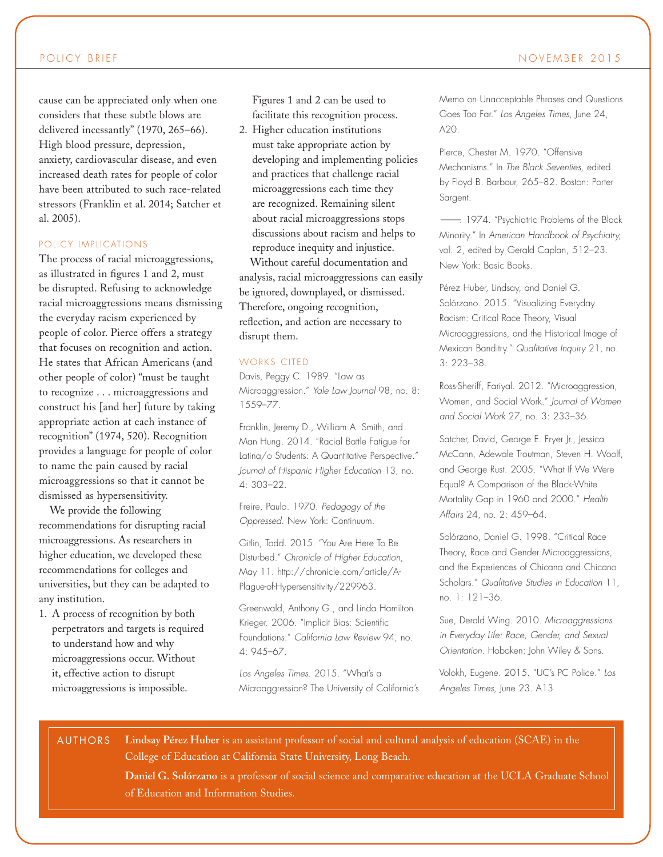cause can be appreciated only when one considers that these subtle blows are delivered incessantly" (1970, 265–66). High blood pressure, depression, anxiety, cardiovascular disease, and even increased death rates for people of color have been attributed to such race-related stressors (Franklin et al. 2014; Satcher et al. 2005).

#### POLICY IMPLICATIONS

The process of racial microaggressions, as illustrated in figures 1 and 2, must be disrupted. Refusing to acknowledge racial microaggressions means dismissing the everyday racism experienced by people of color. Pierce offers a strategy that focuses on recognition and action. He states that African Americans (and other people of color) "must be taught to recognize . . . microaggressions and construct his [and her] future by taking appropriate action at each instance of recognition" (1974, 520). Recognition provides a language for people of color to name the pain caused by racial microaggressions so that it cannot be dismissed as hypersensitivity.

We provide the following recommendations for disrupting racial microaggressions. As researchers in higher education, we developed these recommendations for colleges and universities, but they can be adapted to any institution.

1. A process of recognition by both perpetrators and targets is required to understand how and why microaggressions occur. Without it, effective action to disrupt microaggressions is impossible.

Figures 1 and 2 can be used to facilitate this recognition process.

2. Higher education institutions must take appropriate action by developing and implementing policies and practices that challenge racial microaggressions each time they are recognized. Remaining silent about racial microaggressions stops discussions about racism and helps to reproduce inequity and injustice.

Without careful documentation and analysis, racial microaggressions can easily be ignored, downplayed, or dismissed. Therefore, ongoing recognition, reflection, and action are necessary to disrupt them.

#### WORKS CITED

Davis, Peggy C. 1989. "Law as Microaggression." *Yale Law Journal* 98, no. 8: 1559–77.

Franklin, Jeremy D., William A. Smith, and Man Hung. 2014. "Racial Battle Fatigue for Latina/o Students: A Quantitative Perspective." *Journal of Hispanic Higher Education* 13, no. 4: 303–22.

Freire, Paulo. 1970. *Pedagogy of the Oppressed.* New York: Continuum.

Gitlin, Todd. 2015. "You Are Here To Be Disturbed." *Chronicle of Higher Education*, May 11. http://chronicle.com/article/A-Plague-of-Hypersensitivity/229963.

Greenwald, Anthony G., and Linda Hamilton Krieger. 2006. "Implicit Bias: Scientific Foundations." *California Law Review* 94, no. 4: 945–67.

*Los Angeles Times.* 2015. "What's a Microaggression? The University of California's Memo on Unacceptable Phrases and Questions Goes Too Far." *Los Angeles Times*, June 24, A20.

Pierce, Chester M. 1970. "Offensive Mechanisms." In *The Black Seventies,* edited by Floyd B. Barbour, 265–82. Boston: Porter Sargent.

———. 1974. "Psychiatric Problems of the Black Minority." In *American Handbook of Psychiatry,*  vol. 2, edited by Gerald Caplan, 512–23. New York: Basic Books.

Pérez Huber, Lindsay, and Daniel G. Solórzano. 2015. "Visualizing Everyday Racism: Critical Race Theory, Visual Microaggressions, and the Historical Image of Mexican Banditry." *Qualitative Inquiry* 21, no. 3: 223–38.

Ross-Sheriff, Fariyal. 2012. "Microaggression, Women, and Social Work." *Journal of Women and Social Work* 27*,* no. 3: 233–36.

Satcher, David, George E. Fryer Jr., Jessica McCann, Adewale Troutman, Steven H. Woolf, and George Rust. 2005. "What If We Were Equal? A Comparison of the Black-White Mortality Gap in 1960 and 2000." *Health Affairs* 24, no. 2: 459–64.

Solórzano, Daniel G. 1998. "Critical Race Theory, Race and Gender Microaggressions, and the Experiences of Chicana and Chicano Scholars." *Qualitative Studies in Education* 11, no. 1: 121–36.

Sue, Derald Wing. 2010. *Microaggressions in Everyday Life: Race, Gender, and Sexual Orientation*. Hoboken: John Wiley & Sons.

Volokh, Eugene. 2015. "UC's PC Police." *Los Angeles Times,* June 23*.* A13

#### AUTHORS

**Lindsay Pérez Huber** is an assistant professor of social and cultural analysis of education (SCAE) in the College of Education at California State University, Long Beach.

**Daniel G. Solórzano** is a professor of social science and comparative education at the UCLA Graduate School of Education and Information Studies.